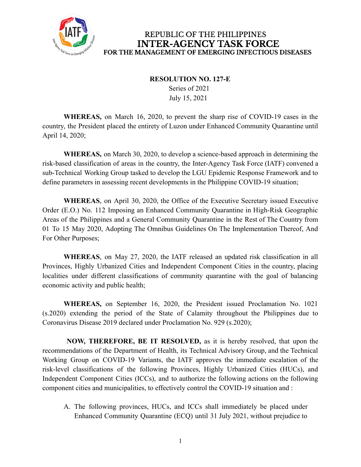

REPUBLIC OF THE PHILIPPINES **INTER-AGENCY TASK FORCE** FOR THE MANAGEMENT OF EMERGING INFECTIOUS DISEASES

## **RESOLUTION NO. 127-E**

Series of 2021 July 15, 2021

**WHEREAS,** on March 16, 2020, to prevent the sharp rise of COVID-19 cases in the country, the President placed the entirety of Luzon under Enhanced Community Quarantine until April 14, 2020;

**WHEREAS,** on March 30, 2020, to develop a science-based approach in determining the risk-based classification of areas in the country, the Inter-Agency Task Force (IATF) convened a sub-Technical Working Group tasked to develop the LGU Epidemic Response Framework and to define parameters in assessing recent developments in the Philippine COVID-19 situation;

**WHEREAS**, on April 30, 2020, the Office of the Executive Secretary issued Executive Order (E.O.) No. 112 Imposing an Enhanced Community Quarantine in High-Risk Geographic Areas of the Philippines and a General Community Quarantine in the Rest of The Country from 01 To 15 May 2020, Adopting The Omnibus Guidelines On The Implementation Thereof, And For Other Purposes;

**WHEREAS**, on May 27, 2020, the IATF released an updated risk classification in all Provinces, Highly Urbanized Cities and Independent Component Cities in the country, placing localities under different classifications of community quarantine with the goal of balancing economic activity and public health;

**WHEREAS,** on September 16, 2020, the President issued Proclamation No. 1021 (s.2020) extending the period of the State of Calamity throughout the Philippines due to Coronavirus Disease 2019 declared under Proclamation No. 929 (s.2020);

**NOW, THEREFORE, BE IT RESOLVED,** as it is hereby resolved, that upon the recommendations of the Department of Health, its Technical Advisory Group, and the Technical Working Group on COVID-19 Variants, the IATF approves the immediate escalation of the risk-level classifications of the following Provinces, Highly Urbanized Cities (HUCs), and Independent Component Cities (ICCs), and to authorize the following actions on the following component cities and municipalities, to effectively control the COVID-19 situation and :

A. The following provinces, HUCs, and ICCs shall immediately be placed under Enhanced Community Quarantine (ECQ) until 31 July 2021, without prejudice to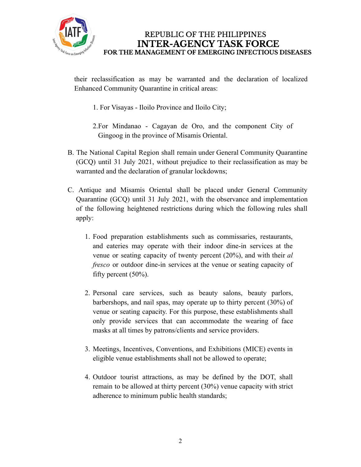

REPUBLIC OF THE PHILIPPINES **INTER-AGENCY TASK FORCE** FOR THE MANAGEMENT OF EMERGING INFECTIOUS DISEASES

their reclassification as may be warranted and the declaration of localized Enhanced Community Quarantine in critical areas:

- 1. For Visayas Iloilo Province and Iloilo City;
- 2.For Mindanao Cagayan de Oro, and the component City of Gingoog in the province of Misamis Oriental.
- B. The National Capital Region shall remain under General Community Quarantine (GCQ) until 31 July 2021, without prejudice to their reclassification as may be warranted and the declaration of granular lockdowns;
- C. Antique and Misamis Oriental shall be placed under General Community Quarantine (GCQ) until 31 July 2021, with the observance and implementation of the following heightened restrictions during which the following rules shall apply:
	- 1. Food preparation establishments such as commissaries, restaurants, and eateries may operate with their indoor dine-in services at the venue or seating capacity of twenty percent (20%), and with their *al fresco* or outdoor dine-in services at the venue or seating capacity of fifty percent (50%).
	- 2. Personal care services, such as beauty salons, beauty parlors, barbershops, and nail spas, may operate up to thirty percent (30%) of venue or seating capacity. For this purpose, these establishments shall only provide services that can accommodate the wearing of face masks at all times by patrons/clients and service providers.
	- 3. Meetings, Incentives, Conventions, and Exhibitions (MICE) events in eligible venue establishments shall not be allowed to operate;
	- 4. Outdoor tourist attractions, as may be defined by the DOT, shall remain to be allowed at thirty percent (30%) venue capacity with strict adherence to minimum public health standards;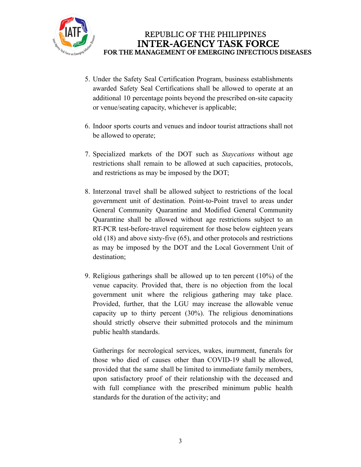

- 5. Under the Safety Seal Certification Program, business establishments awarded Safety Seal Certifications shall be allowed to operate at an additional 10 percentage points beyond the prescribed on-site capacity or venue/seating capacity, whichever is applicable;
- 6. Indoor sports courts and venues and indoor tourist attractions shall not be allowed to operate;
- 7. Specialized markets of the DOT such as *Staycations* without age restrictions shall remain to be allowed at such capacities, protocols, and restrictions as may be imposed by the DOT;
- 8. Interzonal travel shall be allowed subject to restrictions of the local government unit of destination. Point-to-Point travel to areas under General Community Quarantine and Modified General Community Quarantine shall be allowed without age restrictions subject to an RT-PCR test-before-travel requirement for those below eighteen years old (18) and above sixty-five (65), and other protocols and restrictions as may be imposed by the DOT and the Local Government Unit of destination;
- 9. Religious gatherings shall be allowed up to ten percent (10%) of the venue capacity. Provided that, there is no objection from the local government unit where the religious gathering may take place. Provided, further, that the LGU may increase the allowable venue capacity up to thirty percent (30%). The religious denominations should strictly observe their submitted protocols and the minimum public health standards.

Gatherings for necrological services, wakes, inurnment, funerals for those who died of causes other than COVID-19 shall be allowed, provided that the same shall be limited to immediate family members, upon satisfactory proof of their relationship with the deceased and with full compliance with the prescribed minimum public health standards for the duration of the activity; and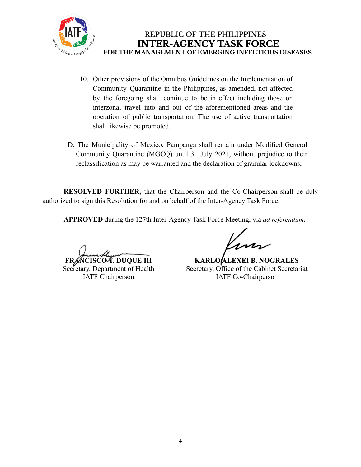

- 10. Other provisions of the Omnibus Guidelines on the Implementation of Community Quarantine in the Philippines, as amended, not affected by the foregoing shall continue to be in effect including those on interzonal travel into and out of the aforementioned areas and the operation of public transportation. The use of active transportation shall likewise be promoted.
- D. The Municipality of Mexico, Pampanga shall remain under Modified General Community Quarantine (MGCQ) until 31 July 2021, without prejudice to their reclassification as may be warranted and the declaration of granular lockdowns;

**RESOLVED FURTHER,** that the Chairperson and the Co-Chairperson shall be duly authorized to sign this Resolution for and on behalf of the Inter-Agency Task Force.

**APPROVED** during the 127th Inter-Agency Task Force Meeting, via *ad referendum***.**

**FRANCISCOA. DUQUE III** 

Secretary, Department of Health IATF Chairperson

**KARLO ALEXEI B. NOGRALES** Secretary, Office of the Cabinet Secretariat IATF Co-Chairperson